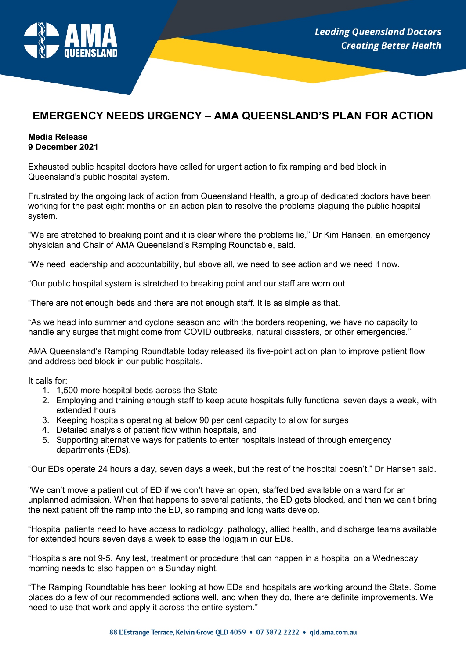

## **EMERGENCY NEEDS URGENCY – AMA QUEENSLAND'S PLAN FOR ACTION**

## **Media Release 9 December 2021**

Exhausted public hospital doctors have called for urgent action to fix ramping and bed block in Queensland's public hospital system.

Frustrated by the ongoing lack of action from Queensland Health, a group of dedicated doctors have been working for the past eight months on an action plan to resolve the problems plaguing the public hospital system.

"We are stretched to breaking point and it is clear where the problems lie," Dr Kim Hansen, an emergency physician and Chair of AMA Queensland's Ramping Roundtable, said.

"We need leadership and accountability, but above all, we need to see action and we need it now.

"Our public hospital system is stretched to breaking point and our staff are worn out.

"There are not enough beds and there are not enough staff. It is as simple as that.

"As we head into summer and cyclone season and with the borders reopening, we have no capacity to handle any surges that might come from COVID outbreaks, natural disasters, or other emergencies."

AMA Queensland's Ramping Roundtable today released its five-point action plan to improve patient flow and address bed block in our public hospitals.

It calls for:

- 1. 1,500 more hospital beds across the State
- 2. Employing and training enough staff to keep acute hospitals fully functional seven days a week, with extended hours
- 3. Keeping hospitals operating at below 90 per cent capacity to allow for surges
- 4. Detailed analysis of patient flow within hospitals, and
- 5. Supporting alternative ways for patients to enter hospitals instead of through emergency departments (EDs).

"Our EDs operate 24 hours a day, seven days a week, but the rest of the hospital doesn't," Dr Hansen said.

"We can't move a patient out of ED if we don't have an open, staffed bed available on a ward for an unplanned admission. When that happens to several patients, the ED gets blocked, and then we can't bring the next patient off the ramp into the ED, so ramping and long waits develop.

"Hospital patients need to have access to radiology, pathology, allied health, and discharge teams available for extended hours seven days a week to ease the logjam in our EDs.

"Hospitals are not 9-5. Any test, treatment or procedure that can happen in a hospital on a Wednesday morning needs to also happen on a Sunday night.

"The Ramping Roundtable has been looking at how EDs and hospitals are working around the State. Some places do a few of our recommended actions well, and when they do, there are definite improvements. We need to use that work and apply it across the entire system."